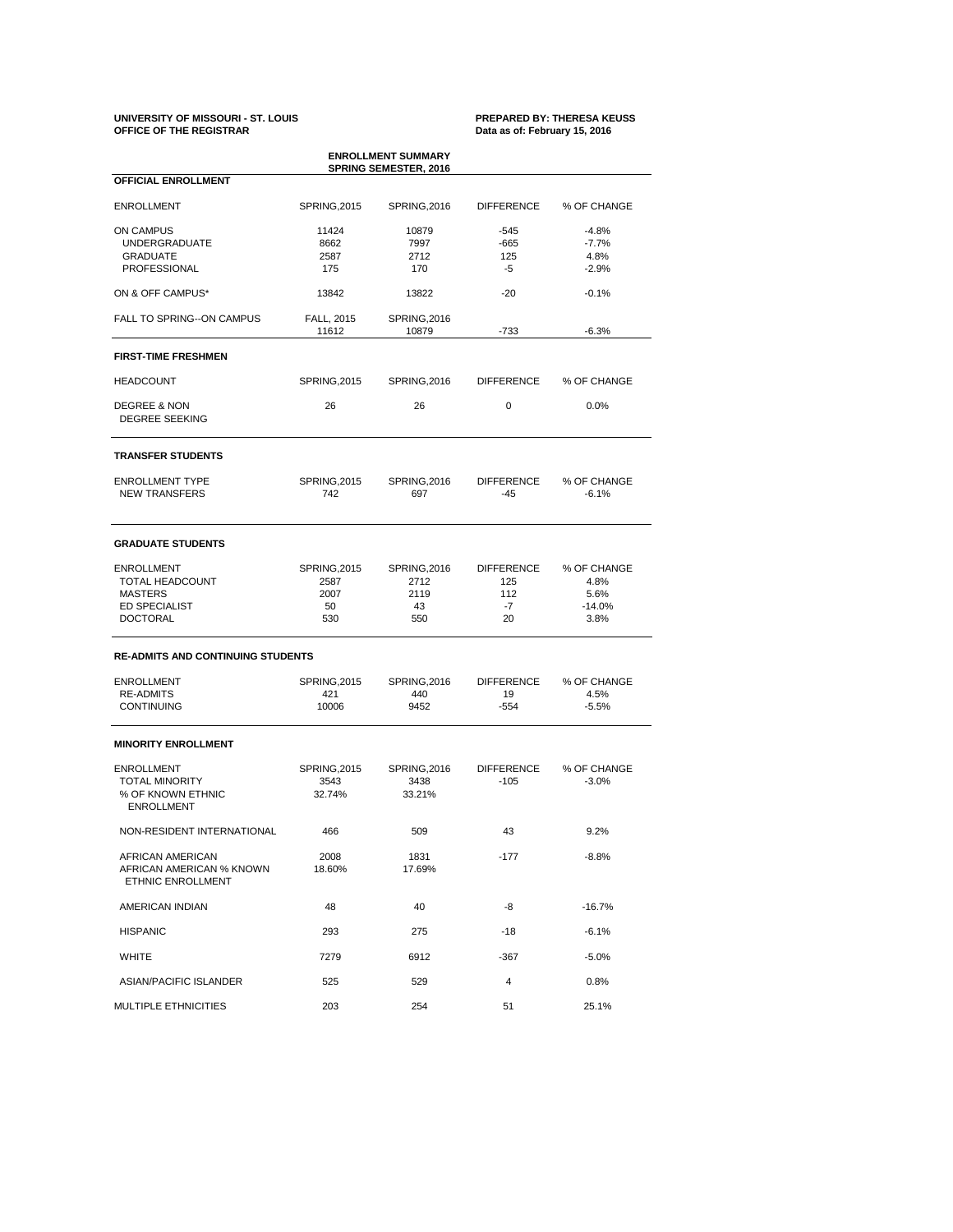# **UNIVERSITY OF MISSOURI - ST. LOUIS PREPARED BY: THERESA KEUSS**

## Data as of: February 15, 2016

AFRICAN AMERICAN 2008 1831 -177 -8.8% AFRICAN AMERICAN % KNOWN 18.60% 17.69% ETHNIC ENROLLMENT

| <b>ENROLLMENT SUMMARY</b><br><b>SPRING SEMESTER, 2016</b><br><b>OFFICIAL ENROLLMENT</b> |                     |                     |                   |             |  |  |  |
|-----------------------------------------------------------------------------------------|---------------------|---------------------|-------------------|-------------|--|--|--|
|                                                                                         |                     |                     |                   |             |  |  |  |
| <b>ON CAMPUS</b>                                                                        | 11424               | 10879               | $-545$            | $-4.8%$     |  |  |  |
| <b>UNDERGRADUATE</b>                                                                    | 8662                | 7997                | $-665$            | $-7.7%$     |  |  |  |
| <b>GRADUATE</b>                                                                         | 2587                | 2712                | 125               | 4.8%        |  |  |  |
| PROFESSIONAL                                                                            | 175                 | 170                 | $-5$              | $-2.9%$     |  |  |  |
| ON & OFF CAMPUS*                                                                        | 13842               | 13822               | $-20$             | $-0.1%$     |  |  |  |
| FALL TO SPRING--ON CAMPUS                                                               | FALL, 2015          | <b>SPRING, 2016</b> |                   |             |  |  |  |
|                                                                                         | 11612               | 10879               | $-733$            | $-6.3%$     |  |  |  |
| <b>FIRST-TIME FRESHMEN</b>                                                              |                     |                     |                   |             |  |  |  |
| <b>HEADCOUNT</b>                                                                        | <b>SPRING, 2015</b> | <b>SPRING, 2016</b> | <b>DIFFERENCE</b> | % OF CHANGE |  |  |  |
| <b>DEGREE &amp; NON</b>                                                                 | 26                  | 26                  | $\mathbf 0$       | 0.0%        |  |  |  |
| <b>DEGREE SEEKING</b>                                                                   |                     |                     |                   |             |  |  |  |
| <b>TRANSFER STUDENTS</b>                                                                |                     |                     |                   |             |  |  |  |
| <b>ENROLLMENT TYPE</b>                                                                  | <b>SPRING, 2015</b> | <b>SPRING, 2016</b> | <b>DIFFERENCE</b> | % OF CHANGE |  |  |  |
| <b>NEW TRANSFERS</b>                                                                    | 742                 | 697                 | $-45$             | $-6.1%$     |  |  |  |
| <b>GRADUATE STUDENTS</b>                                                                |                     |                     |                   |             |  |  |  |
| <b>ENROLLMENT</b>                                                                       | <b>SPRING, 2015</b> | <b>SPRING, 2016</b> | <b>DIFFERENCE</b> | % OF CHANGE |  |  |  |
| <b>TOTAL HEADCOUNT</b>                                                                  | 2587<br>2712        |                     | 125               | 4.8%        |  |  |  |
| <b>MASTERS</b>                                                                          | 2007                | 2119                | 112               | 5.6%        |  |  |  |
| <b>ED SPECIALIST</b>                                                                    | 50                  | 43                  | $-7$              | $-14.0%$    |  |  |  |
| <b>DOCTORAL</b>                                                                         | 530                 | 550                 | 20                | 3.8%        |  |  |  |
| <b>RE-ADMITS AND CONTINUING STUDENTS</b>                                                |                     |                     |                   |             |  |  |  |
| <b>ENROLLMENT</b>                                                                       | <b>SPRING, 2015</b> | <b>SPRING, 2016</b> | <b>DIFFERENCE</b> | % OF CHANGE |  |  |  |
| <b>RE-ADMITS</b>                                                                        | 421                 | 440                 | 19                | 4.5%        |  |  |  |
| <b>CONTINUING</b>                                                                       | 10006               | 9452                | $-554$            | $-5.5%$     |  |  |  |
| <b>MINORITY ENROLLMENT</b>                                                              |                     |                     |                   |             |  |  |  |
| <b>ENROLLMENT</b>                                                                       | <b>SPRING, 2015</b> | <b>SPRING, 2016</b> | <b>DIFFERENCE</b> | % OF CHANGE |  |  |  |
| <b>TOTAL MINORITY</b>                                                                   | 3543                | 3438                | $-105$            | $-3.0%$     |  |  |  |
|                                                                                         | 32.74%              | 33.21%              |                   |             |  |  |  |
| % OF KNOWN ETHNIC<br><b>ENROLLMENT</b>                                                  |                     |                     |                   |             |  |  |  |

| AMERICAN INDIAN               | 48   | 40   | -8     | $-16.7%$ |
|-------------------------------|------|------|--------|----------|
| <b>HISPANIC</b>               | 293  | 275  | -18    | $-6.1%$  |
| <b>WHITE</b>                  | 7279 | 6912 | $-367$ | $-5.0\%$ |
| <b>ASIAN/PACIFIC ISLANDER</b> | 525  | 529  | 4      | 0.8%     |
| <b>MULTIPLE ETHNICITIES</b>   | 203  | 254  | 51     | 25.1%    |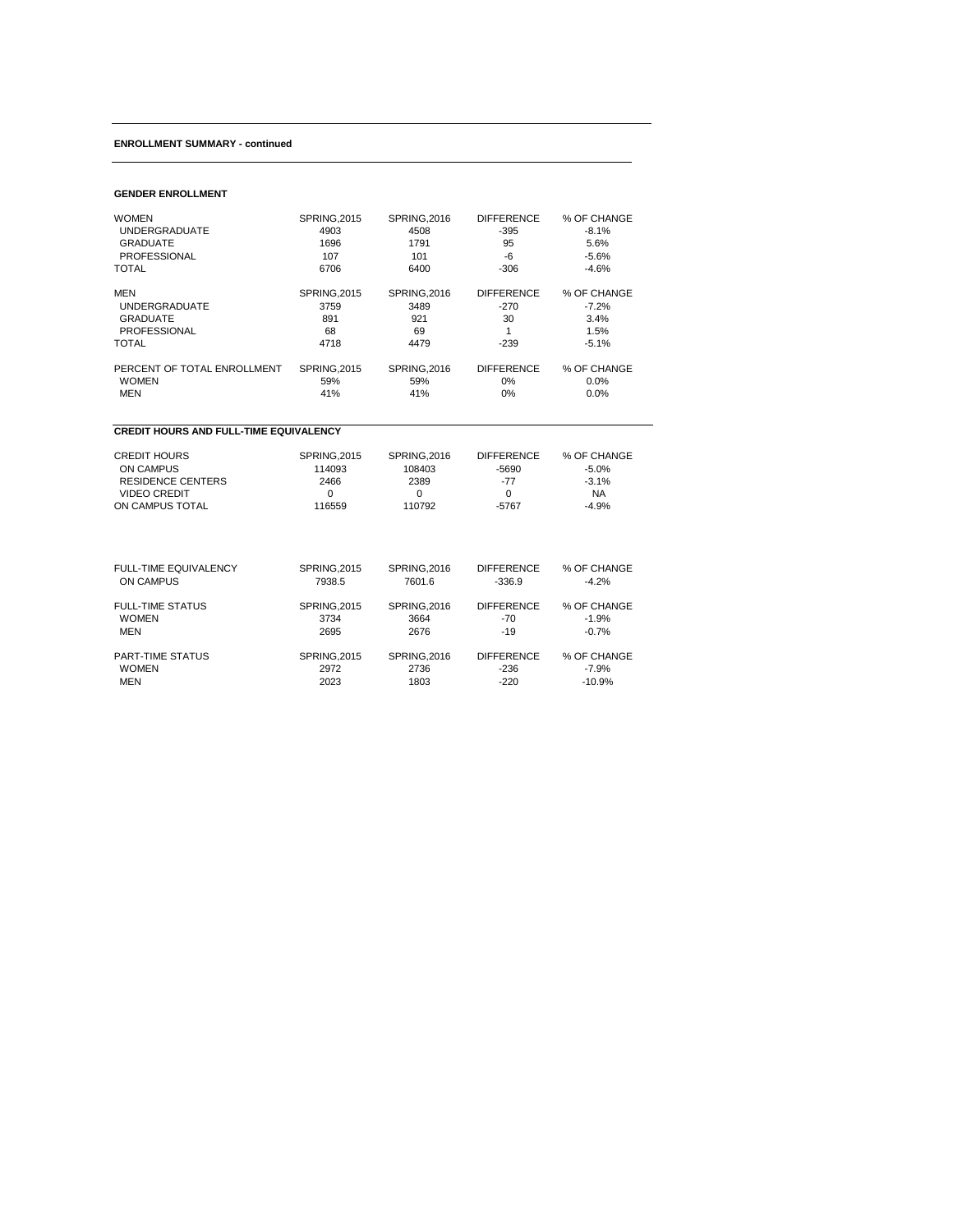#### **ENROLLMENT SUMMARY - continued**

#### **GENDER ENROLLMENT**

| <b>WOMEN</b>                | <b>SPRING, 2015</b> | <b>SPRING, 2016</b> | <b>DIFFERENCE</b> | % OF CHANGE |
|-----------------------------|---------------------|---------------------|-------------------|-------------|
| <b>UNDERGRADUATE</b>        | 4903                | 4508                | $-395$            | $-8.1\%$    |
| <b>GRADUATE</b>             | 1696                | 1791                | 95                | 5.6%        |
| <b>PROFESSIONAL</b>         | 107                 | 101                 | -6                | $-5.6%$     |
| <b>TOTAL</b>                | 6706                | 6400                | $-306$            | $-4.6%$     |
|                             |                     |                     |                   |             |
| MEN                         | <b>SPRING, 2015</b> | <b>SPRING, 2016</b> | <b>DIFFERENCE</b> | % OF CHANGE |
| <b>UNDERGRADUATE</b>        | 3759                | 3489                | $-270$            | $-7.2\%$    |
| <b>GRADUATE</b>             | 891                 | 921                 | 30                | 3.4%        |
| <b>PROFESSIONAL</b>         | 68                  | 69                  | 1                 | 1.5%        |
| <b>TOTAL</b>                | 4718                | 4479                | $-239$            | $-5.1%$     |
| PERCENT OF TOTAL ENROLLMENT | <b>SPRING, 2015</b> | <b>SPRING, 2016</b> | <b>DIFFERENCE</b> | % OF CHANGE |
| <b>WOMEN</b>                | 59%                 | 59%                 | $0\%$             | 0.0%        |
| <b>MEN</b>                  | 41%                 | 41%                 | 0%                | 0.0%        |
|                             |                     |                     |                   |             |

### **CREDIT HOURS AND FULL-TIME EQUIVALENCY**

| <b>CREDIT HOURS</b> | SPRING.2015 | SPRING.2016 | <b>DIFFERENCE</b> | % OF CHANGE |
|---------------------|-------------|-------------|-------------------|-------------|
| ON CAMPUS           | 114093      | 108403      | -5690             | $-5.0\%$    |
| RESIDENCE CENTERS   | 2466        | 2389        | -77               | $-3.1\%$    |
| VIDEO CREDIT        |             |             |                   | NA          |
| ON CAMPUS TOTAL     | 116559      | 110792      | -5767             | $-4.9\%$    |

| <b>FULL-TIME EQUIVALENCY</b> | <b>SPRING, 2015</b> | <b>SPRING, 2016</b> | <b>DIFFERENCE</b> | % OF CHANGE |
|------------------------------|---------------------|---------------------|-------------------|-------------|
| ON CAMPUS                    | 7938.5              | 7601.6              | $-336.9$          | $-4.2\%$    |
| <b>FULL-TIME STATUS</b>      | <b>SPRING, 2015</b> | <b>SPRING, 2016</b> | <b>DIFFERENCE</b> | % OF CHANGE |
| <b>WOMEN</b>                 | 3734                | 3664                | $-70$             | $-1.9%$     |
| MEN                          | 2695                | 2676                | $-19$             | $-0.7%$     |
| <b>PART-TIME STATUS</b>      | <b>SPRING, 2015</b> | <b>SPRING, 2016</b> | <b>DIFFERENCE</b> | % OF CHANGE |
| <b>WOMEN</b>                 | 2972                | 2736                | $-236$            | $-7.9\%$    |
| MEN                          | 2023                | 1803                | $-220$            | $-10.9%$    |